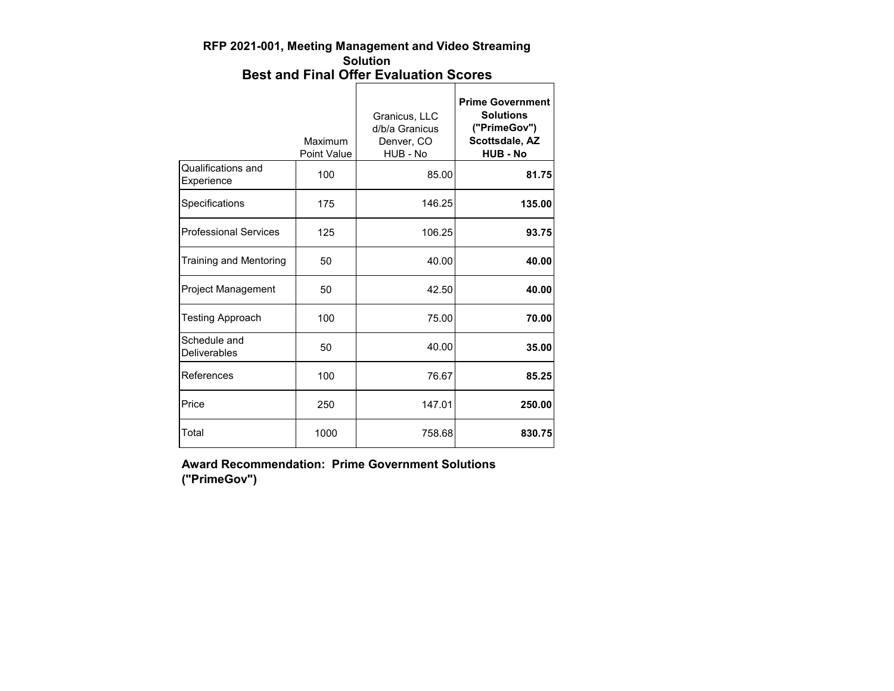#### **RFP 2021-001, Meeting Management and Video Streaming Solution Best and Final Offer Evaluation Scores**

|                                     | Maximum<br><b>Point Value</b> | Granicus, LLC<br>d/b/a Granicus<br>Denver, CO<br>HUB - No | <b>Prime Government</b><br><b>Solutions</b><br>("PrimeGov")<br>Scottsdale, AZ<br><b>HUB - No</b> |
|-------------------------------------|-------------------------------|-----------------------------------------------------------|--------------------------------------------------------------------------------------------------|
| Qualifications and<br>Experience    | 100                           | 85.00                                                     | 81.75                                                                                            |
| Specifications                      | 175                           | 146.25                                                    | 135.00                                                                                           |
| <b>Professional Services</b>        | 125                           | 106.25                                                    | 93.75                                                                                            |
| <b>Training and Mentoring</b>       | 50                            | 40.00                                                     | 40.00                                                                                            |
| Project Management                  | 50                            | 42.50                                                     | 40.00                                                                                            |
| <b>Testing Approach</b>             | 100                           | 75.00                                                     | 70.00                                                                                            |
| Schedule and<br><b>Deliverables</b> | 50                            | 40.00                                                     | 35.00                                                                                            |
| References                          | 100                           | 76.67                                                     | 85.25                                                                                            |
| Price                               | 250                           | 147.01                                                    | 250.00                                                                                           |
| Total                               | 1000                          | 758.68                                                    | 830.75                                                                                           |

**Award Recommendation: Prime Government Solutions ("PrimeGov")**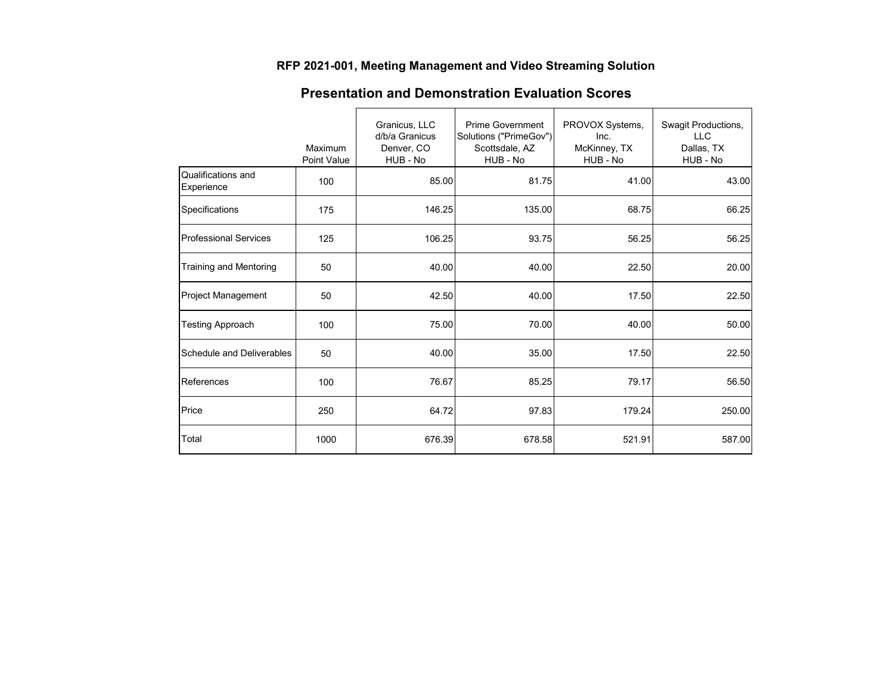### **RFP 2021-001, Meeting Management and Video Streaming Solution**

|                                  | Maximum<br>Point Value | Granicus, LLC<br>d/b/a Granicus<br>Denver, CO<br>HUB - No | <b>Prime Government</b><br>Solutions ("PrimeGov")<br>Scottsdale, AZ<br>HUB - No | PROVOX Systems,<br>Inc.<br>McKinney, TX<br>HUB - No | Swagit Productions,<br><b>LLC</b><br>Dallas, TX<br>HUB - No |
|----------------------------------|------------------------|-----------------------------------------------------------|---------------------------------------------------------------------------------|-----------------------------------------------------|-------------------------------------------------------------|
| Qualifications and<br>Experience | 100                    | 85.00                                                     | 81.75                                                                           | 41.00                                               | 43.00                                                       |
| Specifications                   | 175                    | 146.25                                                    | 135.00                                                                          | 68.75                                               | 66.25                                                       |
| <b>Professional Services</b>     | 125                    | 106.25                                                    | 93.75                                                                           | 56.25                                               | 56.25                                                       |
| Training and Mentoring           | 50                     | 40.00                                                     | 40.00                                                                           | 22.50                                               | 20.00                                                       |
| Project Management               | 50                     | 42.50                                                     | 40.00                                                                           | 17.50                                               | 22.50                                                       |
| <b>Testing Approach</b>          | 100                    | 75.00                                                     | 70.00                                                                           | 40.00                                               | 50.00                                                       |
| <b>Schedule and Deliverables</b> | 50                     | 40.00                                                     | 35.00                                                                           | 17.50                                               | 22.50                                                       |
| References                       | 100                    | 76.67                                                     | 85.25                                                                           | 79.17                                               | 56.50                                                       |
| Price                            | 250                    | 64.72                                                     | 97.83                                                                           | 179.24                                              | 250.00                                                      |
| Total                            | 1000                   | 676.39                                                    | 678.58                                                                          | 521.91                                              | 587.00                                                      |

# **Presentation and Demonstration Evaluation Scores**